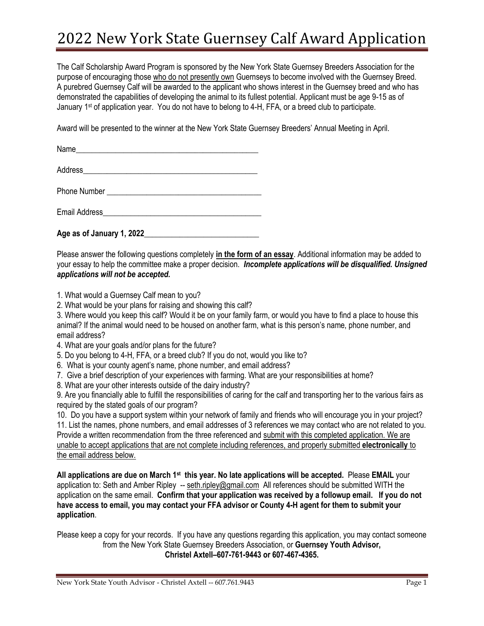## 2022 New York State Guernsey Calf Award Application

The Calf Scholarship Award Program is sponsored by the New York State Guernsey Breeders Association for the purpose of encouraging those who do not presently own Guernseys to become involved with the Guernsey Breed. A purebred Guernsey Calf will be awarded to the applicant who shows interest in the Guernsey breed and who has demonstrated the capabilities of developing the animal to its fullest potential. Applicant must be age 9-15 as of January 1st of application year. You do not have to belong to 4-H, FFA, or a breed club to participate.

Award will be presented to the winner at the New York State Guernsey Breeders' Annual Meeting in April.

 $Name$ 

Address and the set of the set of the set of the set of the set of the set of the set of the set of the set of the set of the set of the set of the set of the set of the set of the set of the set of the set of the set of t

Phone Number \_\_\_\_\_\_\_\_\_\_\_\_\_\_\_\_\_\_\_\_\_\_\_\_\_\_\_\_\_\_\_\_\_\_\_\_\_\_\_

Email Address

**Age as of January 1, 2022**\_\_\_\_\_\_\_\_\_\_\_\_\_\_\_\_\_\_\_\_\_\_\_\_\_\_\_\_\_

Please answer the following questions completely **in the form of an essay**. Additional information may be added to your essay to help the committee make a proper decision. *Incomplete applications will be disqualified. Unsigned applications will not be accepted.* 

1. What would a Guernsey Calf mean to you?

2. What would be your plans for raising and showing this calf?

3. Where would you keep this calf? Would it be on your family farm, or would you have to find a place to house this animal? If the animal would need to be housed on another farm, what is this person's name, phone number, and email address?

- 4. What are your goals and/or plans for the future?
- 5. Do you belong to 4-H, FFA, or a breed club? If you do not, would you like to?
- 6. What is your county agent's name, phone number, and email address?
- 7. Give a brief description of your experiences with farming. What are your responsibilities at home?
- 8. What are your other interests outside of the dairy industry?

9. Are you financially able to fulfill the responsibilities of caring for the calf and transporting her to the various fairs as required by the stated goals of our program?

10. Do you have a support system within your network of family and friends who will encourage you in your project? 11. List the names, phone numbers, and email addresses of 3 references we may contact who are not related to you. Provide a written recommendation from the three referenced and submit with this completed application. We are unable to accept applications that are not complete including references, and properly submitted **electronically** to the email address below.

**All applications are due on March 1 st this year. No late applications will be accepted.** Please **EMAIL** your application to: Seth and Amber Ripley -- seth.ripley@gmail.com All references should be submitted WITH the application on the same email. **Confirm that your application was received by a followup email. If you do not have access to email, you may contact your FFA advisor or County 4-H agent for them to submit your application**.

Please keep a copy for your records. If you have any questions regarding this application, you may contact someone from the New York State Guernsey Breeders Association, or **Guernsey Youth Advisor, Christel Axtell–607-761-9443 or 607-467-4365.**